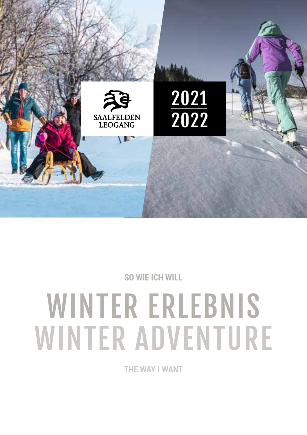

**SO WIE ICH WILL**

# WINTER ERLEBNIS WINTER ADVENTURE

**THE WAY I WANT**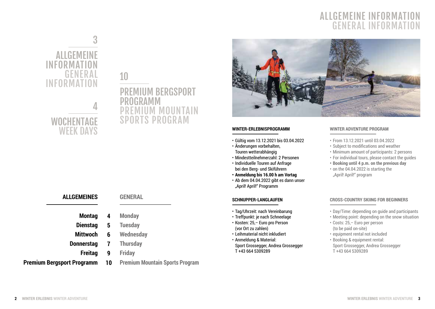## **ALLGEMEINE INFORMAT GENERAL INFORMAT**





## **WOCHENTAGE** WEEK DAYS

**ALLGEMEINES**

**Freitag**

#### **Montag Dienstag Mittwoch Donnerstag Monday Tuesday Wednesday 4 5 6**

**10**

**Premium Bergsport Programm**

**GENERAL**

- **Thursday 7**
	- **Friday 9**

### **Premium Mountain Sports Program**



#### **WINTER-ERLEBNISPROGRAMM**

- Gültig vom 13.12.2021 bis 03.04.2022
- Änderungen vorbehalten, Touren wetterabhängig
- Mindestteilnehmerzahl: 2 Personen
- Individuelle Touren auf Anfrage bei den Berg- und Skiführern
- **• Anmeldung bis 16.00 h am Vortag**
- Ab dem 04.04.2022 gibt es dann unser "April! April!" Programm

#### **SCHNUPPER-LANGLAUFEN**

- Tag/Uhrzeit: nach Vereinbarung
- Treffpunkt: je nach Schneelage
- Kosten: 25,– Euro pro Person (vor Ort zu zahlen)
- Leihmaterial nicht inkludiert
- Anmeldung & Material: Sport Grossegger, Andrea Grossegger T +43 664 5309289

#### **WINTER ADVENTURE PROGRAM**

- From 13.12.2021 until 03.04.2022
- Subject to modifications and weather
- Minimum amount of participants: 2 persons
- For individual tours, please contact the guides
- **• Booking until 4 p.m. on the previous day**
- on the 04.04.2022 is starting the "April! April!" program

#### **CROSS-COUNTRY SKIING FOR BEGINNERS**

- Day/Time: depending on guide and participants
- Meeting point: depending on the snow situation
- Costs: 25,– Euro per person (to be paid on-site)
- equipment rental not included
- Booking & equipment rental: Sport Grossegger, Andrea Grossegger T +43 664 5309289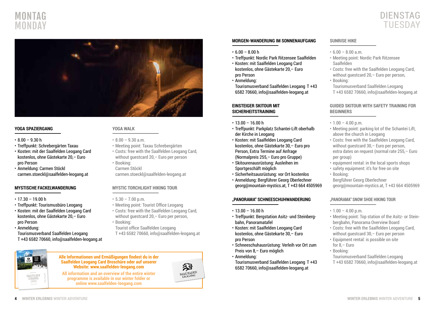



#### **YOGA SPAZIERGANG**

- $8.00 9.30 h$
- Treffpunkt: Schrebergärten Taxau
- Kosten: mit der Saalfelden Leogang Card kostenlos, ohne Gästekarte 20,– Euro pro Person
- Anmeldung: Carmen Stöckl carmen.stoeckl@saalfelden-leogang.at

#### **MYSTISCHE FACKELWANDERUNG**

 $\cdot$  17.30 – 19.00 h

SAALFELDEN LEOGANG CARD

2020 2021

- Treffpunkt: Tourismusbüro Leogang
- Kosten: mit der Saalfelden Leogang Card kostenlos, ohne Gästekarte 20,– Euro pro Person
- Anmeldung: Tourismusverband Saalfelden Leogang T +43 6582 70660, info@saalfelden-leogang.at

#### **YOGA WALK**

- $\cdot$  8.00 9.30 a.m.
- Meeting point: Taxau Schrebergärten
- Costs: free with the Saalfelden Leogang Card, without guestcard 20, – Euro per person
- Booking: Carmen Stöckl carmen.stoeckl@saalfelden-leogang.at

#### **MYSTIC TORCHLIGHT HIKING TOUR**

- $\cdot$  5.30 7.00 p.m.
- Meeting point: Tourist Office Leogang
- Costs: free with the Saalfelden Leogang Card, without guestcard 20,– Euro per person,
- Booking:
- Tourist office Saalfelden Leogang
- T +43 6582 70660, info@saalfelden-leogang.at

#### **Alle Informationen und Ermäßigungen findest du in der Saalfelden Leogang Card Broschüre oder auf unserer Website: www.saalfelden-leogang.com**

**All information and an overview of the entire winter programme is available in our winter folder or online www.saalfelden-leogang.com** 



#### **MORGEN-WANDERUNG IM SONNENAUFGANG**

- $6.00 8.00 h$
- Treffpunkt: Nordic Park Ritzensee Saalfelden
- Kosten: mit Saalfelden Leogang Card kostenlos, ohne Gästekarte 20,– Euro pro Person
- Anmeldung:
- Tourismusverband Saalfelden Leogang T +43 6582 70660, info@saalfelden-leogang.at

#### **EINSTEIGER SKITOUR MIT SICHERHEITSTRAINING**

- $\cdot$  13.00 16.00 h
- Treffpunkt: Parkplatz Schantei-Lift oberhalb der Kirche in Leogang
- Kosten: mit Saalfelden Leogang Card kostenlos, ohne Gästekarte 30,– Euro pro Person, Extra Termine auf Anfrage (Normalpreis 255,– Euro pro Gruppe)
- Skitourenausrüstung: Ausleihen im Sportgeschäft möglich
- Sicherheitsausrüstung: vor Ort kostenlos
- Anmeldung: Bergführer Georg Oberlechner georg@mountain-mystics.at, T +43 664 4505969

#### **"PANORAMA" SCHNEESCHUHWANDERUNG**

- $\cdot$  13.00 16.00 h
- Treffpunkt: Bergstation Asitz- und Steinbergbahn, Panoramatafel
- Kosten: mit Saalfelden Leogang Card kostenlos, ohne Gästekarte 30,– Euro pro Person
- Schneeschuhausrüstung: Verleih vor Ort zum Preis von 8,– Euro möglich
- Anmeldung:
- Tourismusverband Saalfelden Leogang T +43 6582 70660, info@saalfelden-leogang.at

#### **SUNRISE HIKE**

- $\cdot$  6.00 8.00 a.m.
- Meeting point: Nordic Park Ritzensee Saalfelden
- Costs: free with the Saalfelden Leogang Card, without questcard 20, - Euro per person,
- Booking:
- Tourismusverband Saalfelden Leogang T +43 6582 70660, info@saalfelden-leogang.at

#### **GUIDED SKITOUR WITH SAFETY TRAINING FOR BEGINNERS**

- $\cdot$  1.00 4.00 p.m.
- Meeting point: parking lot of the Schantei Lift, above the church in Leogang
- Costs: free with the Saalfelden Leogang Card, without questcard 30,– Euro per person, extra dates on request (normal rate 255,– Euro per group)
- equipment rental: in the local sports shops
- safety equipment: it's for free on site
- Booking: Bergführer Georg Oberlechner georg@mountain-mystics.at, T +43 664 4505969

## **"PANORAMA" SNOW SHOE HIKING TOUR**

- $\cdot$  1.00 4.00 p.m.
- Meeting point: Top station of the Asitz- or Steinbergbahn, Panorama Overview Board
- Costs: free with the Saalfelden Leogang Card, without guestcard 30,– Euro per person
- Equipment rental: is possible on site for 8,– Euro
- Booking:
- Tourismusverband Saalfelden Leogang T +43 6582 70660, info@saalfelden-leogang.at

**PARTNER + ERMÄSSIGUNGEN PARTNERS + DISCOUNTS**

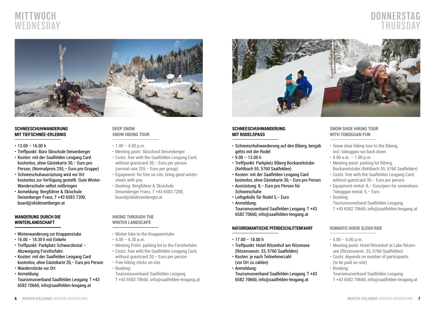

## DONNERSTAG THURSDAY



#### **SCHNEESCHUHWANDERUNG MIT TIEFSCHNEE-ERLEBNIS**

- $\cdot$  13.00 16.00 h
- Treffpunkt: Büro Skischule Deisenberger
- Kosten: mit der Saalfelden Leogang Card kostenlos, ohne Gästekarte 30,– Euro pro Person, (Normalpreis 255,– Euro pro Gruppe)
- Schneeschuhausrüstung wird vor Ort kostenlos zur Verfügung gestellt. Gute Winter-Wanderschuhe selbst mitbringen
- Anmeldung: Bergführer & Skischule Deisenberger Franz, T +43 6583 7200, board@skideisenberger.at

#### **WANDERUNG DURCH DIE WINTERLANDSCHAFT**

- Winterwanderung zur Knappenstube
- 16.00 18.30 h mit Einkehr
- Treffpunkt: Parkplatz Schwarzleotal Abzweigung Forsthofalm
- Kosten: mit der Saalfelden Leogang Card kostenlos, ohne Gästekarte 20,– Euro pro Person
- Wanderstöcke vor Ort
- Anmeldung:
- Tourismusverband Saalfelden Leogang T +43 6582 70660, info@saalfelden-leogang.at

#### **DEEP SNOW SNOW HIKING TOUR**

- $\cdot$  1.00 4.00 p.m.
- Meeting point: Skischool Deisenberger
- Costs: free with the Saalfelden Leogang Card, without guestcard 30, – Euro per person (normal rate 255,– Euro per group)
- Equipment: for free on site, bring good wintershoes with you
- Booking: Bergführer & Skischule Deisenberger Franz, T +43 6583 7200, board@skideisenberger.at

#### **HIKING THROUGH THE WINTER LANDSCAPE**

- Winter hike to the Knappenstube
- $\cdot$  4.00 6.30 p.m.
- Meeting Point: parking lot to the Forsthofalm
- Costs: free with the Saalfelden Leogang Card, without guestcard 20,– Euro per person
- Free hiking sticks on site
- Booking:
	- Tourismusverband Saalfelden Leogang T +43 6582 70660, info@saalfelden-leogang.at



#### **SCHNEESCHUHWANDERUNG MIT RODELSPASS**

- Schneeschuhwanderung auf den Biberg, bergab gehts mit der Rodel
- $\cdot$  9.00 13.00 h
- Treffpunkt: Parkplatz Biberg Bockareitstubn (Kehlbach 55, 5760 Saalfelden)
- Kosten: mit der Saalfelden Leogang Card kostenlos, ohne Gästekarte 30,– Euro pro Person
- Ausrüstung: 8,– Euro pro Person für Schneeschuhe
- Leihgebühr für Rodel 5,– Euro
- Anmeldung:
- Tourismusverband Saalfelden Leogang T +43 6582 70660, info@saalfelden-leogang.at

#### **NATURROMANTISCHE PFERDESCHLITTENFAHRT**

- $\cdot$  17.00 18.00 h
- Treffpunkt: Hotel Ritzenhof am Ritzensee (Ritzenseestr. 33, 5760 Saalfelden)
- Kosten: je nach Teilnehmerzahl (vor Ort zu zahlen)
- Anmeldung:

Tourismusverband Saalfelden Leogang T +43 6582 70660, info@saalfelden-leogang.at

#### **SNOW SHOE HIKING TOUR WITH TOBOGGAN FUN**

- Snow shoe hiking tour to the Biberg, incl. toboggan run back down
- $\cdot$  9.00 a.m.  $-1.00$  p.m.
- Meeting point: parking lot Biberg, Bockareitstubn (Kehlbach 55, 5760 Saalfelden)
- Costs: free with the Saalfelden Leogang Card, without guestcard 30,– Euro per person
- Equipment rental: 8,– Euro/pers for snowshoes Toboggan rental: 5,– Euro
- Booking:

Tourismusverband Saalfelden Leogang T +43 6582 70660, info@saalfelden-leogang.at

#### **ROMANTIC HORSE SLEIGH RIDE**

- $\cdot$  5.00 6.00 p.m.
- Meeting point: Hotel Ritzenhof at Lake Ritzensee (Ritzenseestr. 33, 5760 Saalfelden)
- Costs: depends on number of participants (to be paid on-site)
- Booking:

Tourismusverband Saalfelden Leogang T +43 6582 70660, info@saalfelden-leogang.at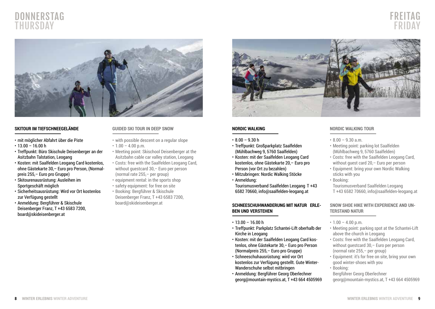## DONNERSTAG THURSDAY





#### **SKITOUR IM TIEFSCHNEEGELÄNDE**

- mit möglicher Abfahrt über die Piste
- $\cdot$  13.00 16.00 h
- Treffpunkt: Büro Skischule Deisenberger an der Asitzbahn Talstation, Leogang
- Kosten: mit Saalfelden Leogang Card kostenlos, ohne Gästekarte 30,– Euro pro Person, (Normalpreis 255,– Euro pro Gruppe)
- Skitourenausrüstung: Ausleihen im Sportgeschäft möglich
- Sicherheitsausrüstung: Wird vor Ort kostenlos zur Verfügung gestellt
- Anmeldung: Bergführer & Skischule Deisenberger Franz, T +43 6583 7200, board@skideisenberger.at

#### **GUIDED SKI TOUR IN DEEP SNOW**

- with possible descent on a regular slope
- $\cdot$  1.00 4.00 p.m.
- Meeting point: Skischool Deisenberger at the Asitzbahn cable car valley station, Leogang
- Costs: free with the Saalfelden Leogang Card, without guestcard 30,– Euro per person (normal rate 255,– per group)
- equipment rental: in the sports shop
- safety equipment: for free on site • Booking: Bergführer & Skischule Deisenberger Franz, T +43 6583 7200, board@skideisenberger.at



#### **NORDIC WALKING**

- $\cdot$  8.00 9.30 h
- Treffpunkt: Großparkplatz Saalfelden (Mühlbachweg 9, 5760 Saalfelden)
- Kosten: mit der Saalfelden Leogang Card kostenlos, ohne Gästekarte 20,– Euro pro Person (vor Ort zu bezahlen)
- Mitzubringen: Nordic Walking Stöcke
- Anmeldung:
- Tourismusverband Saalfelden Leogang T +43 6582 70660, info@saalfelden-leogang.at

#### SCHNEESCHUHWANDERUNG MIT NATUR FRUE-**BEN UND VERSTEHEN**

- $\cdot$  13.00 16.00 h
- Treffpunkt: Parkplatz Schantei-Lift oberhalb der Kirche in Leogang
- Kosten: mit der Saalfelden Leogang Card kostenlos, ohne Gästekarte 30,– Euro pro Person (Normalpreis 255,– Euro pro Gruppe)
- Schneeschuhausrüstung: wird vor Ort kostenlos zur Verfügung gestellt. Gute Winter-Wanderschuhe selbst mitbringen
- Anmeldung: Bergführer Georg Oberlechner georg@mountain-mystics.at, T +43 664 4505969

#### **NORDIC WALKING TOUR**

- $\cdot$  8.00 9.30 a.m.
- Meeting point: parking lot Saalfelden (Mühlbachweg 9, 5760 Saalfelden)
- Costs: free with the Saalfelden Leogang Card, without quest card 20,– Euro per person
- Equipment: bring your own Nordic Walking sticks with you
- Booking:

Tourismusverband Saalfelden Leogang T +43 6582 70660, info@saalfelden-leogang.at

**SNOW SHOE HIKE WITH EXPERIENCE AND UN-TERSTAND NATUR**

- $\cdot$  1.00 4.00 p.m.
- Meeting point: parking spot at the Schantei-Lift above the church in Leogang
- Costs: free with the Saalfelden Leogang Card, without guestcard 30,– Euro per person (normal rate 255,– per group)
- Equipment: it's for free on site, bring your own good winter-shoes with you
- Booking:
- Bergführer Georg Oberlechner

georg@mountain-mystics.at, T +43 664 4505969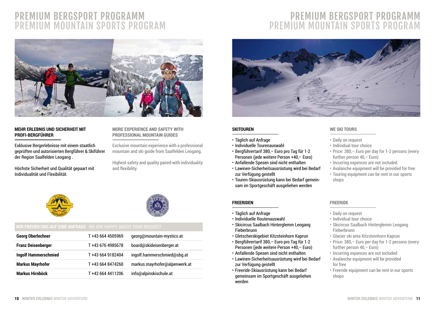## PREMIUM BERGSPORT PROGRAMM PREMIUM MOUNTAIN SPORTS PROGRAM



#### **MEHR ERLEBNIS UND SICHERHEIT MIT PROFI-BERGFÜHRER**

Exklusive Bergerlebnisse mit einem staatlich geprüften und autorisierten Bergführer & Skiführer der Region Saalfelden Leogang .

Höchste Sicherheit und Qualität gepaart mit Individualität und Flexibilität.

#### **MORE EXPERIENCE AND SAFETY WITH PROFESSIONAL MOUNTAIN GUIDES**

Exclusive mountain experience with a professional mountain and ski guide from Saalfelden Leogang.

Highest safety and quality paired with individuality and flexibility.





| <b>Georg Oberlechner</b>    | T +43 664 4505969 | georg@mountain-mystics.at     |
|-----------------------------|-------------------|-------------------------------|
| <b>Franz Deisenberger</b>   | T +43 676 4985678 | board@skideisenberger.at      |
| <b>Ingolf Hammerschmied</b> | T +43 664 9182404 | ingolf.hammerschmied@sbg.at   |
| <b>Markus Mayrhofer</b>     | T+43 664 8474260  | markus.mayrhofer@alpenwerk.at |
| <b>Markus Hirnböck</b>      | T+43 664 4411206  | info@alpinskischule.at        |

## PREMIUM BERGSPORT PROGRAMM PREMIUM MOUNTAIN SPORTS PROGRAM



#### **SKITOUREN**

- Täglich auf Anfrage
- Individuelle Tourenauswahl
- Bergführertarif 380,– Euro pro Tag für 1-2 Personen (jede weitere Person +40,– Euro)
- Anfallende Spesen sind nicht enthalten
- Lawinen-Sicherheitsausrüstung wird bei Bedarf zur Verfügung gestellt
- Touren-Skiausrüstung kann bei Bedarf gemeinsam im Sportgeschäft ausgeliehen werden

#### **FREERIDEN**

- Täglich auf Anfrage
- Individuelle Routenauswahl
- Skicircus Saalbach Hinterglemm Leogang Fieberbrunn
- Gletscherskigebiet Kitzsteinhorn Kaprun
- Bergführertarif 380,– Euro pro Tag für 1-2 Personen (jede weitere Person +40,– Euro)
- Anfallende Spesen sind nicht enthalten
- Lawinen-Sicherheitsausrüstung wird bei Bedarf zur Verfügung gestellt
- Freeride-Skiausrüstung kann bei Bedarf gemeinsam im Sportgeschäft ausgeliehen werden

#### **WE SKI TOURS**

- Daily on request
- Individual tour choice
- Price: 380,– Euro per day for 1-2 persons (every further person 40,– Euro)
- Incurring expences are not included
- Avalanche equipment will be provided for free
- Touring equipment can be rent in our sports shops

#### **FREERIDE**

- Daily on request
- Individual tour choice
- Skicircus Saalbach Hinterglemm Leogang Fieberbrunn
- Glacier ski area Kitzsteinhorn Kaprun
- Price: 380,– Euro per day for 1-2 persons (every further person 40,– Euro)
- Incurring expences are not included
- Avalanche equipment will be provided for free
- Freeride equipment can be rent in our sports shops